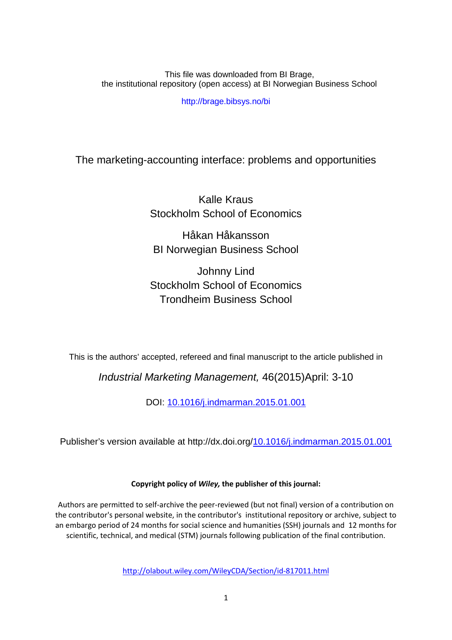This file was downloaded from BI Brage, the institutional repository (open access) at BI Norwegian Business School

http://brage.bibsys.no/bi

The marketing-accounting interface: problems and opportunities

Kalle Kraus Stockholm School of Economics

Håkan Håkansson BI Norwegian Business School

Johnny Lind Stockholm School of Economics Trondheim Business School

This is the authors' accepted, refereed and final manuscript to the article published in

*Industrial Marketing Management,* 46(2015)April: 3-10

DOI: [10.1016/j.indmarman.2015.01.001](http://dx.doi.org.ezproxy.library.bi.no/10.1016/j.indmarman.2015.01.001)

Publisher's version available at http://dx.doi.org[/10.1016/j.indmarman.2015.01.001](http://dx.doi.org.ezproxy.library.bi.no/10.1016/j.indmarman.2015.01.001)

### **Copyright policy of** *Wiley,* **the publisher of this journal:**

Authors are permitted to self-archive the peer-reviewed (but not final) version of a contribution on the contributor's personal website, in the contributor's institutional repository or archive, subject to an embargo period of 24 months for social science and humanities (SSH) journals and 12 months for scientific, technical, and medical (STM) journals following publication of the final contribution.

<http://olabout.wiley.com/WileyCDA/Section/id-817011.html>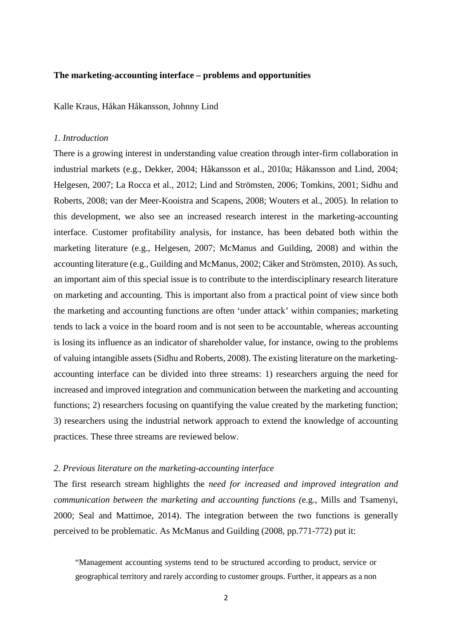#### **The marketing-accounting interface – problems and opportunities**

Kalle Kraus, Håkan Håkansson, Johnny Lind

#### *1. Introduction*

There is a growing interest in understanding value creation through inter-firm collaboration in industrial markets (e.g., Dekker, 2004; Håkansson et al., 2010a; Håkansson and Lind, 2004; Helgesen, 2007; La Rocca et al., 2012; Lind and Strömsten, 2006; Tomkins, 2001; Sidhu and Roberts, 2008; van der Meer-Kooistra and Scapens, 2008; Wouters et al., 2005). In relation to this development, we also see an increased research interest in the marketing-accounting interface. Customer profitability analysis, for instance, has been debated both within the marketing literature (e.g., Helgesen, 2007; McManus and Guilding, 2008) and within the accounting literature (e.g., Guilding and McManus, 2002; Cäker and Strömsten, 2010). As such, an important aim of this special issue is to contribute to the interdisciplinary research literature on marketing and accounting. This is important also from a practical point of view since both the marketing and accounting functions are often 'under attack' within companies; marketing tends to lack a voice in the board room and is not seen to be accountable, whereas accounting is losing its influence as an indicator of shareholder value, for instance, owing to the problems of valuing intangible assets (Sidhu and Roberts, 2008). The existing literature on the marketingaccounting interface can be divided into three streams: 1) researchers arguing the need for increased and improved integration and communication between the marketing and accounting functions; 2) researchers focusing on quantifying the value created by the marketing function; 3) researchers using the industrial network approach to extend the knowledge of accounting practices. These three streams are reviewed below.

#### *2. Previous literature on the marketing-accounting interface*

The first research stream highlights the *need for increased and improved integration and communication between the marketing and accounting functions (*e.g., Mills and Tsamenyi, 2000; Seal and Mattimoe, 2014). The integration between the two functions is generally perceived to be problematic. As McManus and Guilding (2008, pp.771-772) put it:

"Management accounting systems tend to be structured according to product, service or geographical territory and rarely according to customer groups. Further, it appears as a non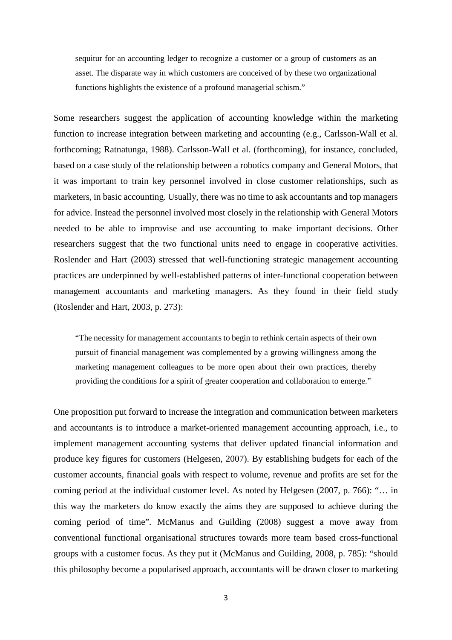sequitur for an accounting ledger to recognize a customer or a group of customers as an asset. The disparate way in which customers are conceived of by these two organizational functions highlights the existence of a profound managerial schism."

Some researchers suggest the application of accounting knowledge within the marketing function to increase integration between marketing and accounting (e.g., Carlsson-Wall et al. forthcoming; Ratnatunga, 1988). Carlsson-Wall et al. (forthcoming), for instance, concluded, based on a case study of the relationship between a robotics company and General Motors, that it was important to train key personnel involved in close customer relationships, such as marketers, in basic accounting. Usually, there was no time to ask accountants and top managers for advice. Instead the personnel involved most closely in the relationship with General Motors needed to be able to improvise and use accounting to make important decisions. Other researchers suggest that the two functional units need to engage in cooperative activities. Roslender and Hart (2003) stressed that well-functioning strategic management accounting practices are underpinned by well-established patterns of inter-functional cooperation between management accountants and marketing managers. As they found in their field study (Roslender and Hart, 2003, p. 273):

"The necessity for management accountants to begin to rethink certain aspects of their own pursuit of financial management was complemented by a growing willingness among the marketing management colleagues to be more open about their own practices, thereby providing the conditions for a spirit of greater cooperation and collaboration to emerge."

One proposition put forward to increase the integration and communication between marketers and accountants is to introduce a market-oriented management accounting approach, i.e., to implement management accounting systems that deliver updated financial information and produce key figures for customers (Helgesen, 2007). By establishing budgets for each of the customer accounts, financial goals with respect to volume, revenue and profits are set for the coming period at the individual customer level. As noted by Helgesen (2007, p. 766): "… in this way the marketers do know exactly the aims they are supposed to achieve during the coming period of time". McManus and Guilding (2008) suggest a move away from conventional functional organisational structures towards more team based cross-functional groups with a customer focus. As they put it (McManus and Guilding, 2008, p. 785): "should this philosophy become a popularised approach, accountants will be drawn closer to marketing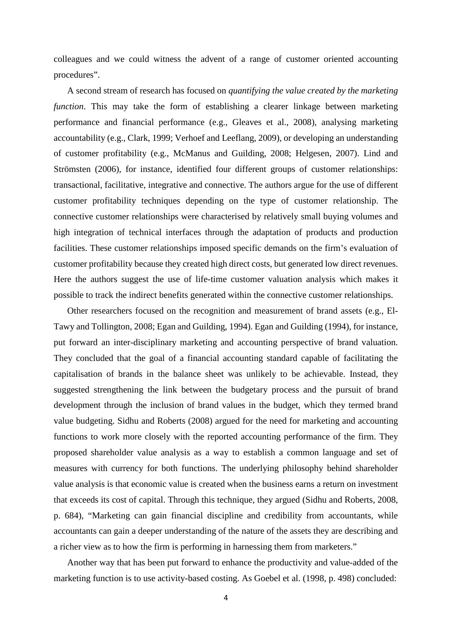colleagues and we could witness the advent of a range of customer oriented accounting procedures".

A second stream of research has focused on *quantifying the value created by the marketing function*. This may take the form of establishing a clearer linkage between marketing performance and financial performance (e.g., Gleaves et al., 2008), analysing marketing accountability (e.g., Clark, 1999; Verhoef and Leeflang, 2009), or developing an understanding of customer profitability (e.g., McManus and Guilding, 2008; Helgesen, 2007). Lind and Strömsten (2006), for instance, identified four different groups of customer relationships: transactional, facilitative, integrative and connective. The authors argue for the use of different customer profitability techniques depending on the type of customer relationship. The connective customer relationships were characterised by relatively small buying volumes and high integration of technical interfaces through the adaptation of products and production facilities. These customer relationships imposed specific demands on the firm's evaluation of customer profitability because they created high direct costs, but generated low direct revenues. Here the authors suggest the use of life-time customer valuation analysis which makes it possible to track the indirect benefits generated within the connective customer relationships.

Other researchers focused on the recognition and measurement of brand assets (e.g., El-Tawy and Tollington, 2008; Egan and Guilding, 1994). Egan and Guilding (1994), for instance, put forward an inter-disciplinary marketing and accounting perspective of brand valuation. They concluded that the goal of a financial accounting standard capable of facilitating the capitalisation of brands in the balance sheet was unlikely to be achievable. Instead, they suggested strengthening the link between the budgetary process and the pursuit of brand development through the inclusion of brand values in the budget, which they termed brand value budgeting. Sidhu and Roberts (2008) argued for the need for marketing and accounting functions to work more closely with the reported accounting performance of the firm. They proposed shareholder value analysis as a way to establish a common language and set of measures with currency for both functions. The underlying philosophy behind shareholder value analysis is that economic value is created when the business earns a return on investment that exceeds its cost of capital. Through this technique, they argued (Sidhu and Roberts, 2008, p. 684), "Marketing can gain financial discipline and credibility from accountants, while accountants can gain a deeper understanding of the nature of the assets they are describing and a richer view as to how the firm is performing in harnessing them from marketers."

Another way that has been put forward to enhance the productivity and value-added of the marketing function is to use activity-based costing. As Goebel et al. (1998, p. 498) concluded: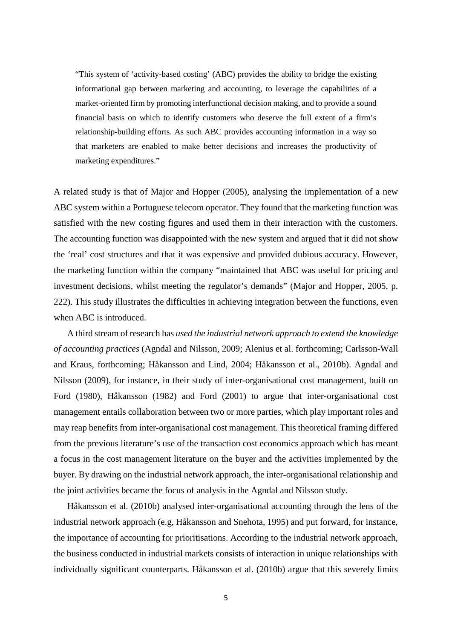"This system of 'activity-based costing' (ABC) provides the ability to bridge the existing informational gap between marketing and accounting, to leverage the capabilities of a market-oriented firm by promoting interfunctional decision making, and to provide a sound financial basis on which to identify customers who deserve the full extent of a firm's relationship-building efforts. As such ABC provides accounting information in a way so that marketers are enabled to make better decisions and increases the productivity of marketing expenditures."

A related study is that of Major and Hopper (2005), analysing the implementation of a new ABC system within a Portuguese telecom operator. They found that the marketing function was satisfied with the new costing figures and used them in their interaction with the customers. The accounting function was disappointed with the new system and argued that it did not show the 'real' cost structures and that it was expensive and provided dubious accuracy. However, the marketing function within the company "maintained that ABC was useful for pricing and investment decisions, whilst meeting the regulator's demands" (Major and Hopper, 2005, p. 222). This study illustrates the difficulties in achieving integration between the functions, even when ABC is introduced.

A third stream of research has *used the industrial network approach to extend the knowledge of accounting practices* (Agndal and Nilsson, 2009; Alenius et al. forthcoming; Carlsson-Wall and Kraus, forthcoming; Håkansson and Lind, 2004; Håkansson et al., 2010b). Agndal and Nilsson (2009), for instance, in their study of inter-organisational cost management, built on Ford (1980), Håkansson (1982) and Ford (2001) to argue that inter-organisational cost management entails collaboration between two or more parties, which play important roles and may reap benefits from inter-organisational cost management. This theoretical framing differed from the previous literature's use of the transaction cost economics approach which has meant a focus in the cost management literature on the buyer and the activities implemented by the buyer. By drawing on the industrial network approach, the inter-organisational relationship and the joint activities became the focus of analysis in the Agndal and Nilsson study.

Håkansson et al. (2010b) analysed inter-organisational accounting through the lens of the industrial network approach (e.g, Håkansson and Snehota, 1995) and put forward, for instance, the importance of accounting for prioritisations. According to the industrial network approach, the business conducted in industrial markets consists of interaction in unique relationships with individually significant counterparts. Håkansson et al. (2010b) argue that this severely limits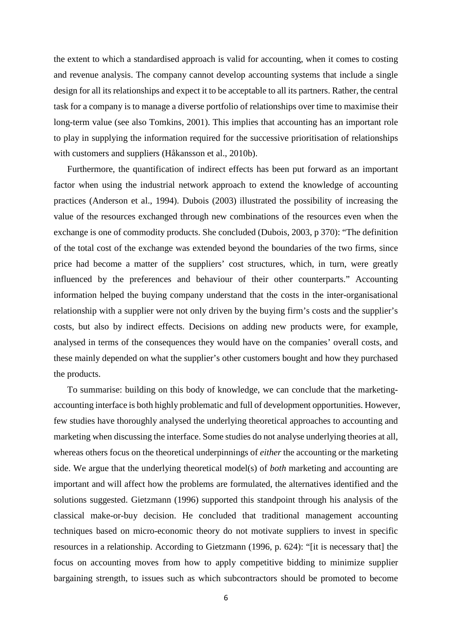the extent to which a standardised approach is valid for accounting, when it comes to costing and revenue analysis. The company cannot develop accounting systems that include a single design for all its relationships and expect it to be acceptable to all its partners. Rather, the central task for a company is to manage a diverse portfolio of relationships over time to maximise their long-term value (see also Tomkins, 2001). This implies that accounting has an important role to play in supplying the information required for the successive prioritisation of relationships with customers and suppliers (Håkansson et al., 2010b).

Furthermore, the quantification of indirect effects has been put forward as an important factor when using the industrial network approach to extend the knowledge of accounting practices (Anderson et al., 1994). Dubois (2003) illustrated the possibility of increasing the value of the resources exchanged through new combinations of the resources even when the exchange is one of commodity products. She concluded (Dubois, 2003, p 370): "The definition of the total cost of the exchange was extended beyond the boundaries of the two firms, since price had become a matter of the suppliers' cost structures, which, in turn, were greatly influenced by the preferences and behaviour of their other counterparts." Accounting information helped the buying company understand that the costs in the inter-organisational relationship with a supplier were not only driven by the buying firm's costs and the supplier's costs, but also by indirect effects. Decisions on adding new products were, for example, analysed in terms of the consequences they would have on the companies' overall costs, and these mainly depended on what the supplier's other customers bought and how they purchased the products.

To summarise: building on this body of knowledge, we can conclude that the marketingaccounting interface is both highly problematic and full of development opportunities. However, few studies have thoroughly analysed the underlying theoretical approaches to accounting and marketing when discussing the interface. Some studies do not analyse underlying theories at all, whereas others focus on the theoretical underpinnings of *either* the accounting or the marketing side. We argue that the underlying theoretical model(s) of *both* marketing and accounting are important and will affect how the problems are formulated, the alternatives identified and the solutions suggested. Gietzmann (1996) supported this standpoint through his analysis of the classical make-or-buy decision. He concluded that traditional management accounting techniques based on micro-economic theory do not motivate suppliers to invest in specific resources in a relationship. According to Gietzmann (1996, p. 624): "[it is necessary that] the focus on accounting moves from how to apply competitive bidding to minimize supplier bargaining strength, to issues such as which subcontractors should be promoted to become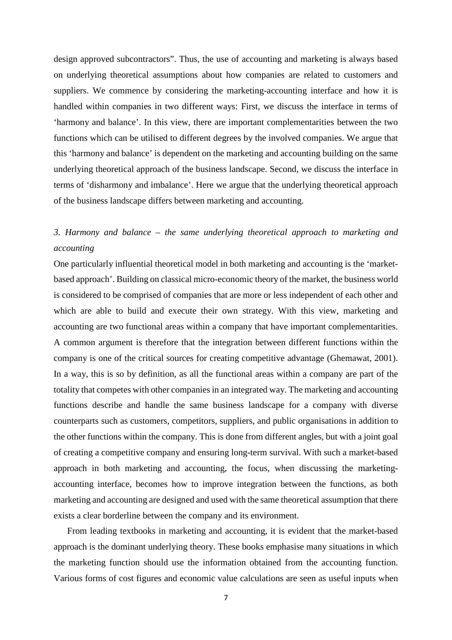design approved subcontractors". Thus, the use of accounting and marketing is always based on underlying theoretical assumptions about how companies are related to customers and suppliers. We commence by considering the marketing-accounting interface and how it is handled within companies in two different ways: First, we discuss the interface in terms of 'harmony and balance'. In this view, there are important complementarities between the two functions which can be utilised to different degrees by the involved companies. We argue that this 'harmony and balance' is dependent on the marketing and accounting building on the same underlying theoretical approach of the business landscape. Second, we discuss the interface in terms of 'disharmony and imbalance'. Here we argue that the underlying theoretical approach of the business landscape differs between marketing and accounting.

# *3. Harmony and balance – the same underlying theoretical approach to marketing and accounting*

One particularly influential theoretical model in both marketing and accounting is the 'marketbased approach'. Building on classical micro-economic theory of the market, the business world is considered to be comprised of companies that are more or less independent of each other and which are able to build and execute their own strategy. With this view, marketing and accounting are two functional areas within a company that have important complementarities. A common argument is therefore that the integration between different functions within the company is one of the critical sources for creating competitive advantage (Ghemawat, 2001). In a way, this is so by definition, as all the functional areas within a company are part of the totality that competes with other companies in an integrated way. The marketing and accounting functions describe and handle the same business landscape for a company with diverse counterparts such as customers, competitors, suppliers, and public organisations in addition to the other functions within the company. This is done from different angles, but with a joint goal of creating a competitive company and ensuring long-term survival. With such a market-based approach in both marketing and accounting, the focus, when discussing the marketingaccounting interface, becomes how to improve integration between the functions, as both marketing and accounting are designed and used with the same theoretical assumption that there exists a clear borderline between the company and its environment.

From leading textbooks in marketing and accounting, it is evident that the market-based approach is the dominant underlying theory. These books emphasise many situations in which the marketing function should use the information obtained from the accounting function. Various forms of cost figures and economic value calculations are seen as useful inputs when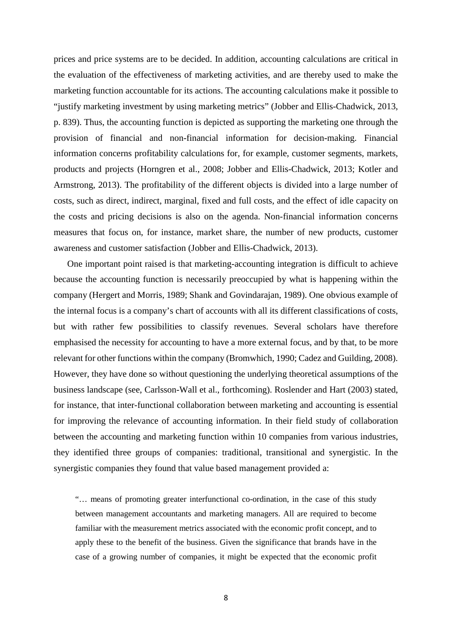prices and price systems are to be decided. In addition, accounting calculations are critical in the evaluation of the effectiveness of marketing activities, and are thereby used to make the marketing function accountable for its actions. The accounting calculations make it possible to "justify marketing investment by using marketing metrics" (Jobber and Ellis-Chadwick, 2013, p. 839). Thus, the accounting function is depicted as supporting the marketing one through the provision of financial and non-financial information for decision-making. Financial information concerns profitability calculations for, for example, customer segments, markets, products and projects (Horngren et al., 2008; Jobber and Ellis-Chadwick, 2013; Kotler and Armstrong, 2013). The profitability of the different objects is divided into a large number of costs, such as direct, indirect, marginal, fixed and full costs, and the effect of idle capacity on the costs and pricing decisions is also on the agenda. Non-financial information concerns measures that focus on, for instance, market share, the number of new products, customer awareness and customer satisfaction (Jobber and Ellis-Chadwick, 2013).

One important point raised is that marketing-accounting integration is difficult to achieve because the accounting function is necessarily preoccupied by what is happening within the company (Hergert and Morris, 1989; Shank and Govindarajan, 1989). One obvious example of the internal focus is a company's chart of accounts with all its different classifications of costs, but with rather few possibilities to classify revenues. Several scholars have therefore emphasised the necessity for accounting to have a more external focus, and by that, to be more relevant for other functions within the company (Bromwhich, 1990; Cadez and Guilding, 2008). However, they have done so without questioning the underlying theoretical assumptions of the business landscape (see, Carlsson-Wall et al., forthcoming). Roslender and Hart (2003) stated, for instance, that inter-functional collaboration between marketing and accounting is essential for improving the relevance of accounting information. In their field study of collaboration between the accounting and marketing function within 10 companies from various industries, they identified three groups of companies: traditional, transitional and synergistic. In the synergistic companies they found that value based management provided a:

"… means of promoting greater interfunctional co-ordination, in the case of this study between management accountants and marketing managers. All are required to become familiar with the measurement metrics associated with the economic profit concept, and to apply these to the benefit of the business. Given the significance that brands have in the case of a growing number of companies, it might be expected that the economic profit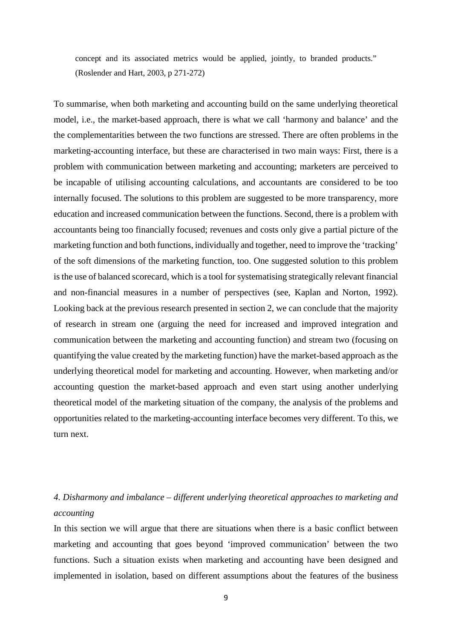concept and its associated metrics would be applied, jointly, to branded products." (Roslender and Hart, 2003, p 271-272)

To summarise, when both marketing and accounting build on the same underlying theoretical model, i.e., the market-based approach, there is what we call 'harmony and balance' and the the complementarities between the two functions are stressed. There are often problems in the marketing-accounting interface, but these are characterised in two main ways: First, there is a problem with communication between marketing and accounting; marketers are perceived to be incapable of utilising accounting calculations, and accountants are considered to be too internally focused. The solutions to this problem are suggested to be more transparency, more education and increased communication between the functions. Second, there is a problem with accountants being too financially focused; revenues and costs only give a partial picture of the marketing function and both functions, individually and together, need to improve the 'tracking' of the soft dimensions of the marketing function, too. One suggested solution to this problem is the use of balanced scorecard, which is a tool for systematising strategically relevant financial and non-financial measures in a number of perspectives (see, Kaplan and Norton, 1992). Looking back at the previous research presented in section 2, we can conclude that the majority of research in stream one (arguing the need for increased and improved integration and communication between the marketing and accounting function) and stream two (focusing on quantifying the value created by the marketing function) have the market-based approach as the underlying theoretical model for marketing and accounting. However, when marketing and/or accounting question the market-based approach and even start using another underlying theoretical model of the marketing situation of the company, the analysis of the problems and opportunities related to the marketing-accounting interface becomes very different. To this, we turn next.

# *4. Disharmony and imbalance – different underlying theoretical approaches to marketing and accounting*

In this section we will argue that there are situations when there is a basic conflict between marketing and accounting that goes beyond 'improved communication' between the two functions. Such a situation exists when marketing and accounting have been designed and implemented in isolation, based on different assumptions about the features of the business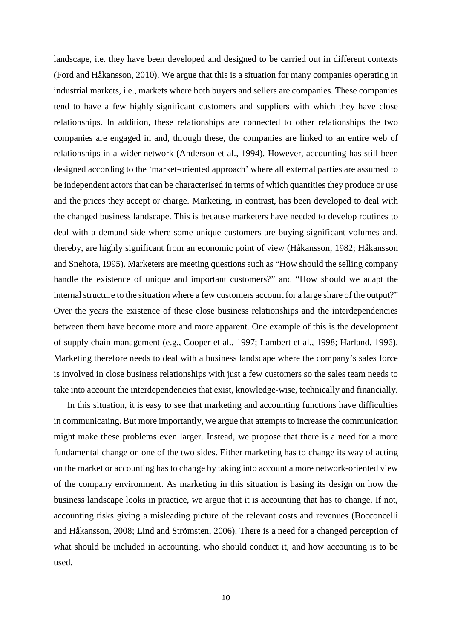landscape, i.e. they have been developed and designed to be carried out in different contexts (Ford and Håkansson, 2010). We argue that this is a situation for many companies operating in industrial markets, i.e., markets where both buyers and sellers are companies. These companies tend to have a few highly significant customers and suppliers with which they have close relationships. In addition, these relationships are connected to other relationships the two companies are engaged in and, through these, the companies are linked to an entire web of relationships in a wider network (Anderson et al., 1994). However, accounting has still been designed according to the 'market-oriented approach' where all external parties are assumed to be independent actors that can be characterised in terms of which quantities they produce or use and the prices they accept or charge. Marketing, in contrast, has been developed to deal with the changed business landscape. This is because marketers have needed to develop routines to deal with a demand side where some unique customers are buying significant volumes and, thereby, are highly significant from an economic point of view (Håkansson, 1982; Håkansson and Snehota, 1995). Marketers are meeting questions such as "How should the selling company handle the existence of unique and important customers?" and "How should we adapt the internal structure to the situation where a few customers account for a large share of the output?" Over the years the existence of these close business relationships and the interdependencies between them have become more and more apparent. One example of this is the development of supply chain management (e.g., Cooper et al., 1997; Lambert et al., 1998; Harland, 1996). Marketing therefore needs to deal with a business landscape where the company's sales force is involved in close business relationships with just a few customers so the sales team needs to take into account the interdependencies that exist, knowledge-wise, technically and financially.

In this situation, it is easy to see that marketing and accounting functions have difficulties in communicating. But more importantly, we argue that attempts to increase the communication might make these problems even larger. Instead, we propose that there is a need for a more fundamental change on one of the two sides. Either marketing has to change its way of acting on the market or accounting has to change by taking into account a more network-oriented view of the company environment. As marketing in this situation is basing its design on how the business landscape looks in practice, we argue that it is accounting that has to change. If not, accounting risks giving a misleading picture of the relevant costs and revenues (Bocconcelli and Håkansson, 2008; Lind and Strömsten, 2006). There is a need for a changed perception of what should be included in accounting, who should conduct it, and how accounting is to be used.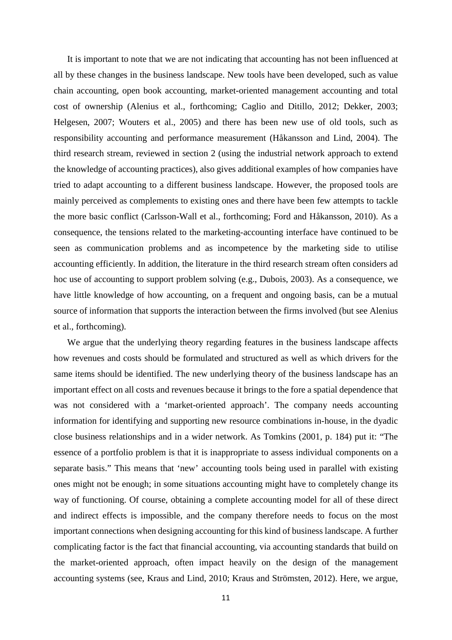It is important to note that we are not indicating that accounting has not been influenced at all by these changes in the business landscape. New tools have been developed, such as value chain accounting, open book accounting, market-oriented management accounting and total cost of ownership (Alenius et al., forthcoming; Caglio and Ditillo, 2012; Dekker, 2003; Helgesen, 2007; Wouters et al., 2005) and there has been new use of old tools, such as responsibility accounting and performance measurement (Håkansson and Lind, 2004). The third research stream, reviewed in section 2 (using the industrial network approach to extend the knowledge of accounting practices), also gives additional examples of how companies have tried to adapt accounting to a different business landscape. However, the proposed tools are mainly perceived as complements to existing ones and there have been few attempts to tackle the more basic conflict (Carlsson-Wall et al., forthcoming; Ford and Håkansson, 2010). As a consequence, the tensions related to the marketing-accounting interface have continued to be seen as communication problems and as incompetence by the marketing side to utilise accounting efficiently. In addition, the literature in the third research stream often considers ad hoc use of accounting to support problem solving (e.g., Dubois, 2003). As a consequence, we have little knowledge of how accounting, on a frequent and ongoing basis, can be a mutual source of information that supports the interaction between the firms involved (but see Alenius et al., forthcoming).

We argue that the underlying theory regarding features in the business landscape affects how revenues and costs should be formulated and structured as well as which drivers for the same items should be identified. The new underlying theory of the business landscape has an important effect on all costs and revenues because it brings to the fore a spatial dependence that was not considered with a 'market-oriented approach'. The company needs accounting information for identifying and supporting new resource combinations in-house, in the dyadic close business relationships and in a wider network. As Tomkins (2001, p. 184) put it: "The essence of a portfolio problem is that it is inappropriate to assess individual components on a separate basis." This means that 'new' accounting tools being used in parallel with existing ones might not be enough; in some situations accounting might have to completely change its way of functioning. Of course, obtaining a complete accounting model for all of these direct and indirect effects is impossible, and the company therefore needs to focus on the most important connections when designing accounting for this kind of business landscape. A further complicating factor is the fact that financial accounting, via accounting standards that build on the market-oriented approach, often impact heavily on the design of the management accounting systems (see, Kraus and Lind, 2010; Kraus and Strömsten, 2012). Here, we argue,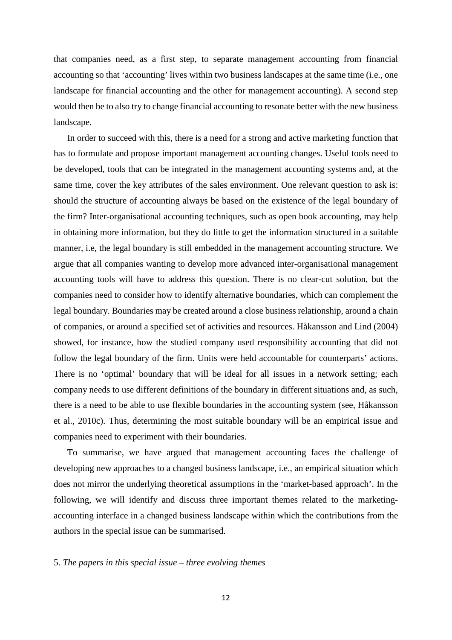that companies need, as a first step, to separate management accounting from financial accounting so that 'accounting' lives within two business landscapes at the same time (i.e., one landscape for financial accounting and the other for management accounting). A second step would then be to also try to change financial accounting to resonate better with the new business landscape.

In order to succeed with this, there is a need for a strong and active marketing function that has to formulate and propose important management accounting changes. Useful tools need to be developed, tools that can be integrated in the management accounting systems and, at the same time, cover the key attributes of the sales environment. One relevant question to ask is: should the structure of accounting always be based on the existence of the legal boundary of the firm? Inter-organisational accounting techniques, such as open book accounting, may help in obtaining more information, but they do little to get the information structured in a suitable manner, i.e, the legal boundary is still embedded in the management accounting structure. We argue that all companies wanting to develop more advanced inter-organisational management accounting tools will have to address this question. There is no clear-cut solution, but the companies need to consider how to identify alternative boundaries, which can complement the legal boundary. Boundaries may be created around a close business relationship, around a chain of companies, or around a specified set of activities and resources. Håkansson and Lind (2004) showed, for instance, how the studied company used responsibility accounting that did not follow the legal boundary of the firm. Units were held accountable for counterparts' actions. There is no 'optimal' boundary that will be ideal for all issues in a network setting; each company needs to use different definitions of the boundary in different situations and, as such, there is a need to be able to use flexible boundaries in the accounting system (see, Håkansson et al., 2010c). Thus, determining the most suitable boundary will be an empirical issue and companies need to experiment with their boundaries.

To summarise, we have argued that management accounting faces the challenge of developing new approaches to a changed business landscape, i.e., an empirical situation which does not mirror the underlying theoretical assumptions in the 'market-based approach'. In the following, we will identify and discuss three important themes related to the marketingaccounting interface in a changed business landscape within which the contributions from the authors in the special issue can be summarised.

### 5. *The papers in this special issue – three evolving themes*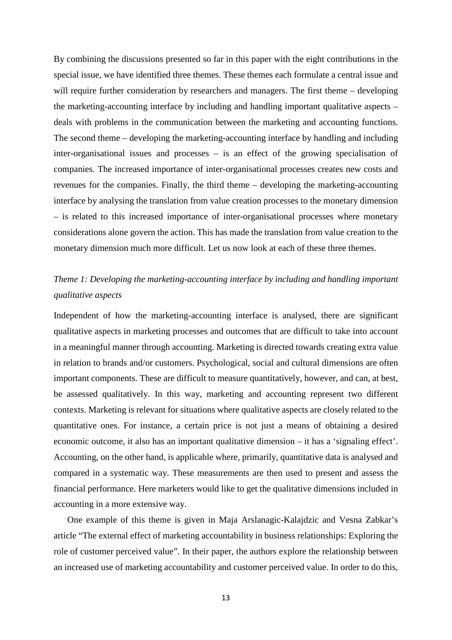By combining the discussions presented so far in this paper with the eight contributions in the special issue, we have identified three themes. These themes each formulate a central issue and will require further consideration by researchers and managers. The first theme – developing the marketing-accounting interface by including and handling important qualitative aspects – deals with problems in the communication between the marketing and accounting functions. The second theme – developing the marketing-accounting interface by handling and including inter-organisational issues and processes – is an effect of the growing specialisation of companies. The increased importance of inter-organisational processes creates new costs and revenues for the companies. Finally, the third theme – developing the marketing-accounting interface by analysing the translation from value creation processes to the monetary dimension – is related to this increased importance of inter-organisational processes where monetary considerations alone govern the action. This has made the translation from value creation to the monetary dimension much more difficult. Let us now look at each of these three themes.

### *Theme 1: Developing the marketing-accounting interface by including and handling important qualitative aspects*

Independent of how the marketing-accounting interface is analysed, there are significant qualitative aspects in marketing processes and outcomes that are difficult to take into account in a meaningful manner through accounting. Marketing is directed towards creating extra value in relation to brands and/or customers. Psychological, social and cultural dimensions are often important components. These are difficult to measure quantitatively, however, and can, at best, be assessed qualitatively. In this way, marketing and accounting represent two different contexts. Marketing is relevant for situations where qualitative aspects are closely related to the quantitative ones. For instance, a certain price is not just a means of obtaining a desired economic outcome, it also has an important qualitative dimension – it has a 'signaling effect'. Accounting, on the other hand, is applicable where, primarily, quantitative data is analysed and compared in a systematic way. These measurements are then used to present and assess the financial performance. Here marketers would like to get the qualitative dimensions included in accounting in a more extensive way.

One example of this theme is given in Maja Arslanagic-Kalajdzic and Vesna Zabkar's article "The external effect of marketing accountability in business relationships: Exploring the role of customer perceived value". In their paper, the authors explore the relationship between an increased use of marketing accountability and customer perceived value. In order to do this,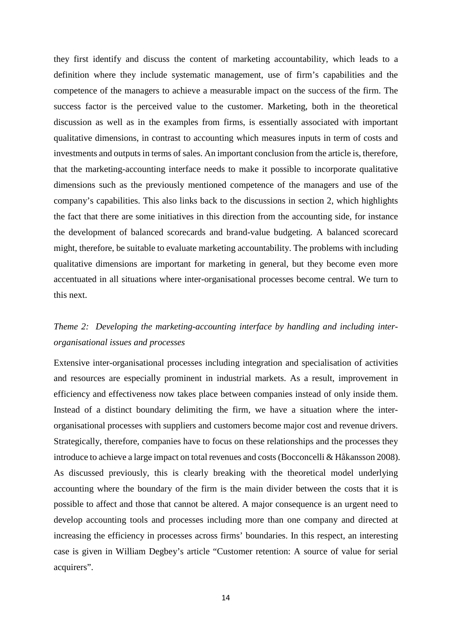they first identify and discuss the content of marketing accountability, which leads to a definition where they include systematic management, use of firm's capabilities and the competence of the managers to achieve a measurable impact on the success of the firm. The success factor is the perceived value to the customer. Marketing, both in the theoretical discussion as well as in the examples from firms, is essentially associated with important qualitative dimensions, in contrast to accounting which measures inputs in term of costs and investments and outputs in terms of sales. An important conclusion from the article is, therefore, that the marketing-accounting interface needs to make it possible to incorporate qualitative dimensions such as the previously mentioned competence of the managers and use of the company's capabilities. This also links back to the discussions in section 2, which highlights the fact that there are some initiatives in this direction from the accounting side, for instance the development of balanced scorecards and brand-value budgeting. A balanced scorecard might, therefore, be suitable to evaluate marketing accountability. The problems with including qualitative dimensions are important for marketing in general, but they become even more accentuated in all situations where inter-organisational processes become central. We turn to this next.

# *Theme 2: Developing the marketing-accounting interface by handling and including interorganisational issues and processes*

Extensive inter-organisational processes including integration and specialisation of activities and resources are especially prominent in industrial markets. As a result, improvement in efficiency and effectiveness now takes place between companies instead of only inside them. Instead of a distinct boundary delimiting the firm, we have a situation where the interorganisational processes with suppliers and customers become major cost and revenue drivers. Strategically, therefore, companies have to focus on these relationships and the processes they introduce to achieve a large impact on total revenues and costs (Bocconcelli & Håkansson 2008). As discussed previously, this is clearly breaking with the theoretical model underlying accounting where the boundary of the firm is the main divider between the costs that it is possible to affect and those that cannot be altered. A major consequence is an urgent need to develop accounting tools and processes including more than one company and directed at increasing the efficiency in processes across firms' boundaries. In this respect, an interesting case is given in William Degbey's article "Customer retention: A source of value for serial acquirers".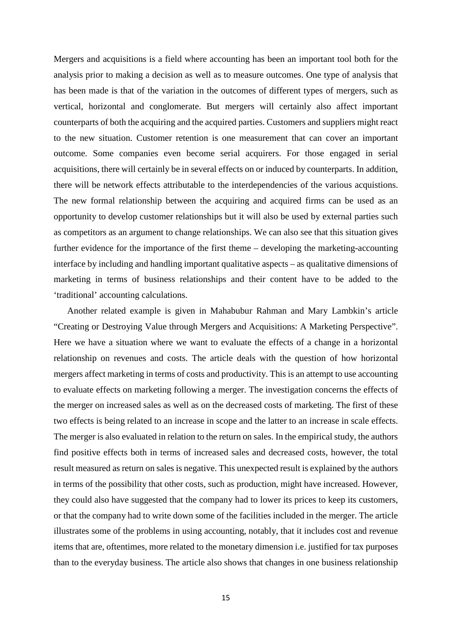Mergers and acquisitions is a field where accounting has been an important tool both for the analysis prior to making a decision as well as to measure outcomes. One type of analysis that has been made is that of the variation in the outcomes of different types of mergers, such as vertical, horizontal and conglomerate. But mergers will certainly also affect important counterparts of both the acquiring and the acquired parties. Customers and suppliers might react to the new situation. Customer retention is one measurement that can cover an important outcome. Some companies even become serial acquirers. For those engaged in serial acquisitions, there will certainly be in several effects on or induced by counterparts. In addition, there will be network effects attributable to the interdependencies of the various acquistions. The new formal relationship between the acquiring and acquired firms can be used as an opportunity to develop customer relationships but it will also be used by external parties such as competitors as an argument to change relationships. We can also see that this situation gives further evidence for the importance of the first theme – developing the marketing-accounting interface by including and handling important qualitative aspects – as qualitative dimensions of marketing in terms of business relationships and their content have to be added to the 'traditional' accounting calculations.

Another related example is given in Mahabubur Rahman and Mary Lambkin's article "Creating or Destroying Value through Mergers and Acquisitions: A Marketing Perspective". Here we have a situation where we want to evaluate the effects of a change in a horizontal relationship on revenues and costs. The article deals with the question of how horizontal mergers affect marketing in terms of costs and productivity. This is an attempt to use accounting to evaluate effects on marketing following a merger. The investigation concerns the effects of the merger on increased sales as well as on the decreased costs of marketing. The first of these two effects is being related to an increase in scope and the latter to an increase in scale effects. The merger is also evaluated in relation to the return on sales. In the empirical study, the authors find positive effects both in terms of increased sales and decreased costs, however, the total result measured as return on sales is negative. This unexpected result is explained by the authors in terms of the possibility that other costs, such as production, might have increased. However, they could also have suggested that the company had to lower its prices to keep its customers, or that the company had to write down some of the facilities included in the merger. The article illustrates some of the problems in using accounting, notably, that it includes cost and revenue items that are, oftentimes, more related to the monetary dimension i.e. justified for tax purposes than to the everyday business. The article also shows that changes in one business relationship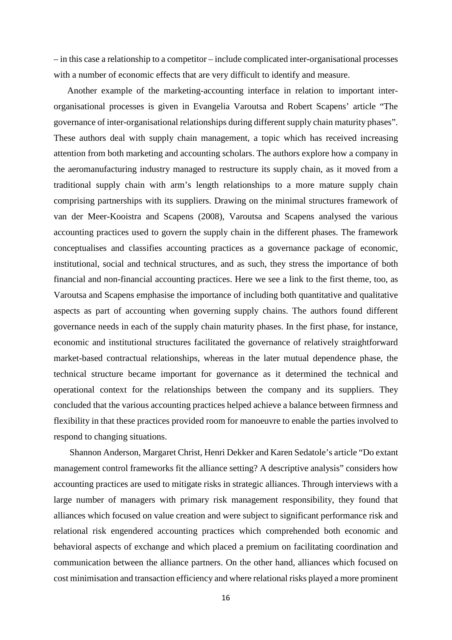– in this case a relationship to a competitor – include complicated inter-organisational processes with a number of economic effects that are very difficult to identify and measure.

Another example of the marketing-accounting interface in relation to important interorganisational processes is given in Evangelia Varoutsa and Robert Scapens' article "The governance of inter-organisational relationships during different supply chain maturity phases". These authors deal with supply chain management, a topic which has received increasing attention from both marketing and accounting scholars. The authors explore how a company in the aeromanufacturing industry managed to restructure its supply chain, as it moved from a traditional supply chain with arm's length relationships to a more mature supply chain comprising partnerships with its suppliers. Drawing on the minimal structures framework of van der Meer-Kooistra and Scapens (2008), Varoutsa and Scapens analysed the various accounting practices used to govern the supply chain in the different phases. The framework conceptualises and classifies accounting practices as a governance package of economic, institutional, social and technical structures, and as such, they stress the importance of both financial and non-financial accounting practices. Here we see a link to the first theme, too, as Varoutsa and Scapens emphasise the importance of including both quantitative and qualitative aspects as part of accounting when governing supply chains. The authors found different governance needs in each of the supply chain maturity phases. In the first phase, for instance, economic and institutional structures facilitated the governance of relatively straightforward market-based contractual relationships, whereas in the later mutual dependence phase, the technical structure became important for governance as it determined the technical and operational context for the relationships between the company and its suppliers. They concluded that the various accounting practices helped achieve a balance between firmness and flexibility in that these practices provided room for manoeuvre to enable the parties involved to respond to changing situations.

Shannon Anderson, Margaret Christ, Henri Dekker and Karen Sedatole's article "Do extant management control frameworks fit the alliance setting? A descriptive analysis" considers how accounting practices are used to mitigate risks in strategic alliances. Through interviews with a large number of managers with primary risk management responsibility, they found that alliances which focused on value creation and were subject to significant performance risk and relational risk engendered accounting practices which comprehended both economic and behavioral aspects of exchange and which placed a premium on facilitating coordination and communication between the alliance partners. On the other hand, alliances which focused on cost minimisation and transaction efficiency and where relational risks played a more prominent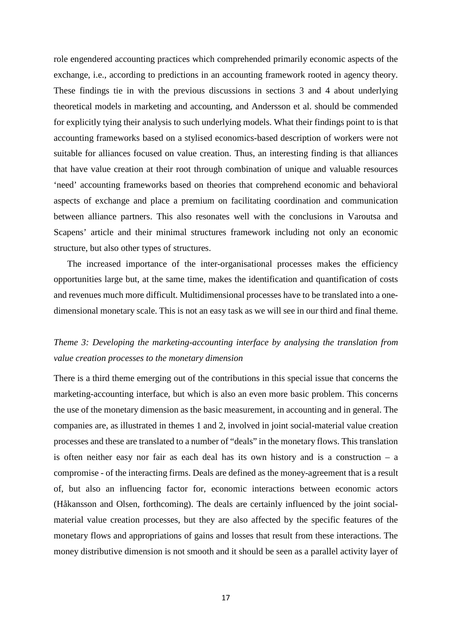role engendered accounting practices which comprehended primarily economic aspects of the exchange, i.e., according to predictions in an accounting framework rooted in agency theory. These findings tie in with the previous discussions in sections 3 and 4 about underlying theoretical models in marketing and accounting, and Andersson et al. should be commended for explicitly tying their analysis to such underlying models. What their findings point to is that accounting frameworks based on a stylised economics-based description of workers were not suitable for alliances focused on value creation. Thus, an interesting finding is that alliances that have value creation at their root through combination of unique and valuable resources 'need' accounting frameworks based on theories that comprehend economic and behavioral aspects of exchange and place a premium on facilitating coordination and communication between alliance partners. This also resonates well with the conclusions in Varoutsa and Scapens' article and their minimal structures framework including not only an economic structure, but also other types of structures.

The increased importance of the inter-organisational processes makes the efficiency opportunities large but, at the same time, makes the identification and quantification of costs and revenues much more difficult. Multidimensional processes have to be translated into a onedimensional monetary scale. This is not an easy task as we will see in our third and final theme.

### *Theme 3: Developing the marketing-accounting interface by analysing the translation from value creation processes to the monetary dimension*

There is a third theme emerging out of the contributions in this special issue that concerns the marketing-accounting interface, but which is also an even more basic problem. This concerns the use of the monetary dimension as the basic measurement, in accounting and in general. The companies are, as illustrated in themes 1 and 2, involved in joint social-material value creation processes and these are translated to a number of "deals" in the monetary flows. This translation is often neither easy nor fair as each deal has its own history and is a construction – a compromise - of the interacting firms. Deals are defined as the money-agreement that is a result of, but also an influencing factor for, economic interactions between economic actors (Håkansson and Olsen, forthcoming). The deals are certainly influenced by the joint socialmaterial value creation processes, but they are also affected by the specific features of the monetary flows and appropriations of gains and losses that result from these interactions. The money distributive dimension is not smooth and it should be seen as a parallel activity layer of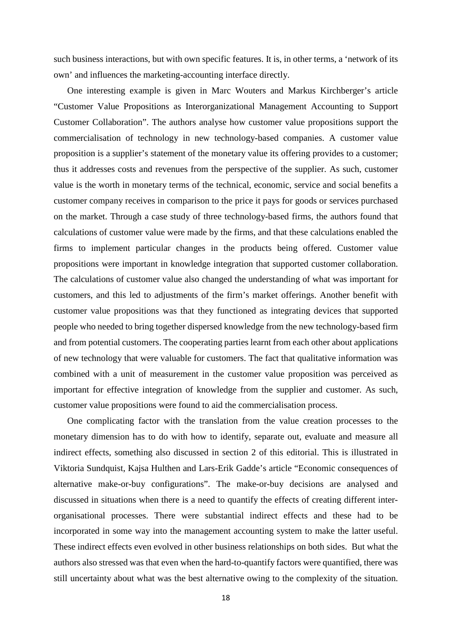such business interactions, but with own specific features. It is, in other terms, a 'network of its own' and influences the marketing-accounting interface directly.

One interesting example is given in Marc Wouters and Markus Kirchberger's article "Customer Value Propositions as Interorganizational Management Accounting to Support Customer Collaboration". The authors analyse how customer value propositions support the commercialisation of technology in new technology-based companies. A customer value proposition is a supplier's statement of the monetary value its offering provides to a customer; thus it addresses costs and revenues from the perspective of the supplier. As such, customer value is the worth in monetary terms of the technical, economic, service and social benefits a customer company receives in comparison to the price it pays for goods or services purchased on the market. Through a case study of three technology-based firms, the authors found that calculations of customer value were made by the firms, and that these calculations enabled the firms to implement particular changes in the products being offered. Customer value propositions were important in knowledge integration that supported customer collaboration. The calculations of customer value also changed the understanding of what was important for customers, and this led to adjustments of the firm's market offerings. Another benefit with customer value propositions was that they functioned as integrating devices that supported people who needed to bring together dispersed knowledge from the new technology-based firm and from potential customers. The cooperating parties learnt from each other about applications of new technology that were valuable for customers. The fact that qualitative information was combined with a unit of measurement in the customer value proposition was perceived as important for effective integration of knowledge from the supplier and customer. As such, customer value propositions were found to aid the commercialisation process.

One complicating factor with the translation from the value creation processes to the monetary dimension has to do with how to identify, separate out, evaluate and measure all indirect effects, something also discussed in section 2 of this editorial. This is illustrated in Viktoria Sundquist, Kajsa Hulthen and Lars-Erik Gadde's article "Economic consequences of alternative make-or-buy configurations". The make-or-buy decisions are analysed and discussed in situations when there is a need to quantify the effects of creating different interorganisational processes. There were substantial indirect effects and these had to be incorporated in some way into the management accounting system to make the latter useful. These indirect effects even evolved in other business relationships on both sides. But what the authors also stressed was that even when the hard-to-quantify factors were quantified, there was still uncertainty about what was the best alternative owing to the complexity of the situation.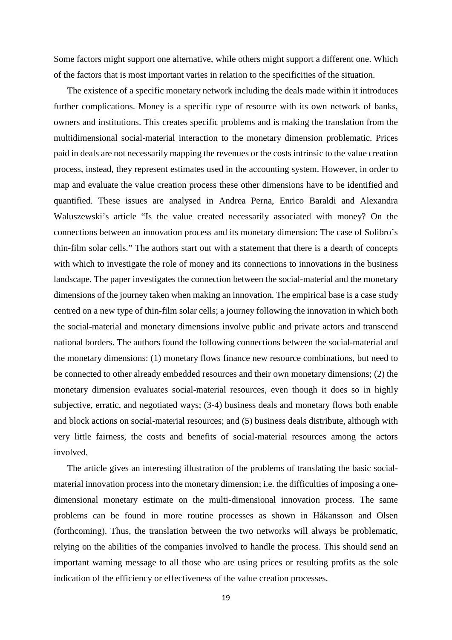Some factors might support one alternative, while others might support a different one. Which of the factors that is most important varies in relation to the specificities of the situation.

The existence of a specific monetary network including the deals made within it introduces further complications. Money is a specific type of resource with its own network of banks, owners and institutions. This creates specific problems and is making the translation from the multidimensional social-material interaction to the monetary dimension problematic. Prices paid in deals are not necessarily mapping the revenues or the costs intrinsic to the value creation process, instead, they represent estimates used in the accounting system. However, in order to map and evaluate the value creation process these other dimensions have to be identified and quantified. These issues are analysed in Andrea Perna, Enrico Baraldi and Alexandra Waluszewski's article "Is the value created necessarily associated with money? On the connections between an innovation process and its monetary dimension: The case of Solibro's thin-film solar cells." The authors start out with a statement that there is a dearth of concepts with which to investigate the role of money and its connections to innovations in the business landscape. The paper investigates the connection between the social-material and the monetary dimensions of the journey taken when making an innovation. The empirical base is a case study centred on a new type of thin-film solar cells; a journey following the innovation in which both the social-material and monetary dimensions involve public and private actors and transcend national borders. The authors found the following connections between the social-material and the monetary dimensions: (1) monetary flows finance new resource combinations, but need to be connected to other already embedded resources and their own monetary dimensions; (2) the monetary dimension evaluates social-material resources, even though it does so in highly subjective, erratic, and negotiated ways; (3-4) business deals and monetary flows both enable and block actions on social-material resources; and (5) business deals distribute, although with very little fairness, the costs and benefits of social-material resources among the actors involved.

The article gives an interesting illustration of the problems of translating the basic socialmaterial innovation process into the monetary dimension; i.e. the difficulties of imposing a onedimensional monetary estimate on the multi-dimensional innovation process. The same problems can be found in more routine processes as shown in Håkansson and Olsen (forthcoming). Thus, the translation between the two networks will always be problematic, relying on the abilities of the companies involved to handle the process. This should send an important warning message to all those who are using prices or resulting profits as the sole indication of the efficiency or effectiveness of the value creation processes.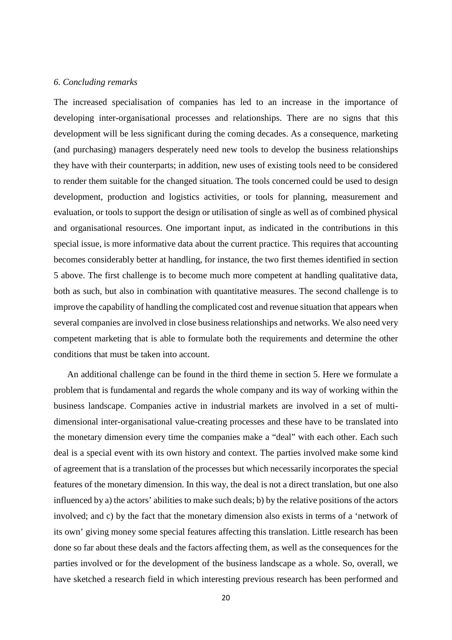#### *6. Concluding remarks*

The increased specialisation of companies has led to an increase in the importance of developing inter-organisational processes and relationships. There are no signs that this development will be less significant during the coming decades. As a consequence, marketing (and purchasing) managers desperately need new tools to develop the business relationships they have with their counterparts; in addition, new uses of existing tools need to be considered to render them suitable for the changed situation. The tools concerned could be used to design development, production and logistics activities, or tools for planning, measurement and evaluation, or tools to support the design or utilisation of single as well as of combined physical and organisational resources. One important input, as indicated in the contributions in this special issue, is more informative data about the current practice. This requires that accounting becomes considerably better at handling, for instance, the two first themes identified in section 5 above. The first challenge is to become much more competent at handling qualitative data, both as such, but also in combination with quantitative measures. The second challenge is to improve the capability of handling the complicated cost and revenue situation that appears when several companies are involved in close business relationships and networks. We also need very competent marketing that is able to formulate both the requirements and determine the other conditions that must be taken into account.

An additional challenge can be found in the third theme in section 5. Here we formulate a problem that is fundamental and regards the whole company and its way of working within the business landscape. Companies active in industrial markets are involved in a set of multidimensional inter-organisational value-creating processes and these have to be translated into the monetary dimension every time the companies make a "deal" with each other. Each such deal is a special event with its own history and context. The parties involved make some kind of agreement that is a translation of the processes but which necessarily incorporates the special features of the monetary dimension. In this way, the deal is not a direct translation, but one also influenced by a) the actors' abilities to make such deals; b) by the relative positions of the actors involved; and c) by the fact that the monetary dimension also exists in terms of a 'network of its own' giving money some special features affecting this translation. Little research has been done so far about these deals and the factors affecting them, as well as the consequences for the parties involved or for the development of the business landscape as a whole. So, overall, we have sketched a research field in which interesting previous research has been performed and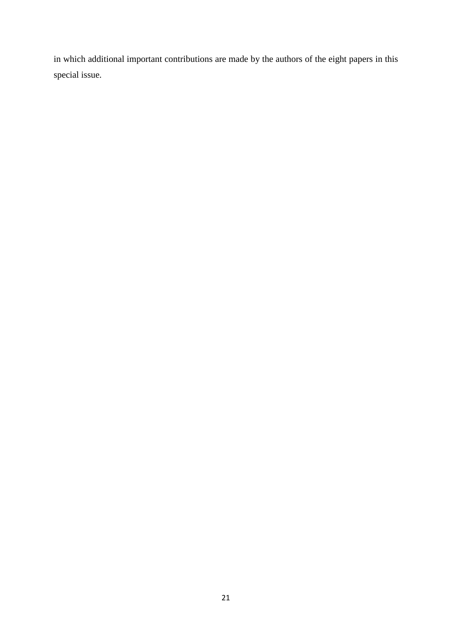in which additional important contributions are made by the authors of the eight papers in this special issue.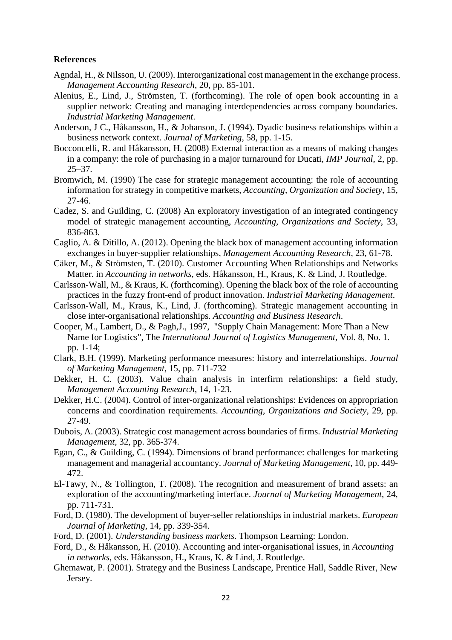### **References**

- Agndal, H., & Nilsson, U. (2009). Interorganizational cost management in the exchange process. *Management Accounting Research*, 20, pp. 85-101.
- Alenius, E., Lind, J., Strömsten, T. (forthcoming). The role of open book accounting in a supplier network: Creating and managing interdependencies across company boundaries. *Industrial Marketing Management*.
- Anderson, J C., Håkansson, H., & Johanson, J. (1994). Dyadic business relationships within a business network context. *Journal of Marketing,* 58, pp. 1-15.
- Bocconcelli, R. and Håkansson, H. (2008) External interaction as a means of making changes in a company: the role of purchasing in a major turnaround for Ducati, *IMP Journal*, 2, pp. 25–37.
- Bromwich, M. (1990) The case for strategic management accounting: the role of accounting information for strategy in competitive markets, *Accounting, Organization and Society*, 15, 27-46.
- Cadez, S. and Guilding, C. (2008) An exploratory investigation of an integrated contingency model of strategic management accounting, *Accounting, Organizations and Society*, 33, 836-863.
- Caglio, A. & Ditillo, A. (2012). Opening the black box of management accounting information exchanges in buyer-supplier relationships, *Management Accounting Research*, 23, 61-78.
- Cäker, M., & Strömsten, T. (2010). Customer Accounting When Relationships and Networks Matter. in *Accounting in networks*, eds. Håkansson, H., Kraus, K. & Lind, J. Routledge.
- Carlsson-Wall, M., & Kraus, K. (forthcoming). Opening the black box of the role of accounting practices in the fuzzy front-end of product innovation. *Industrial Marketing Management*.
- Carlsson-Wall, M., Kraus, K., Lind, J. (forthcoming). Strategic management accounting in close inter-organisational relationships. *Accounting and Business Research*.
- Cooper, M., Lambert, D., & Pagh,J., 1997, "Supply Chain Management: More Than a New Name for Logistics", The *International Journal of Logistics Management,* Vol. 8, No. 1. pp. 1-14;
- Clark, B.H. (1999). Marketing performance measures: history and interrelationships. *Journal of Marketing Management*, 15, pp. 711-732
- Dekker, H. C. (2003). Value chain analysis in interfirm relationships: a field study, *Management Accounting Research*, 14, 1-23.
- Dekker, H.C. (2004). Control of inter-organizational relationships: Evidences on appropriation concerns and coordination requirements. *Accounting, Organizations and Society,* 29, pp. 27-49.
- Dubois, A. (2003). Strategic cost management across boundaries of firms. *Industrial Marketing Management,* 32, pp. 365-374.
- Egan, C., & Guilding, C. (1994). Dimensions of brand performance: challenges for marketing management and managerial accountancy. *Journal of Marketing Management*, 10, pp. 449- 472.
- El-Tawy, N., & Tollington, T. (2008). The recognition and measurement of brand assets: an exploration of the accounting/marketing interface. *Journal of Marketing Management*, 24, pp. 711-731.
- Ford, D. (1980). The development of buyer-seller relationships in industrial markets. *European Journal of Marketing*, 14, pp. 339-354.
- Ford, D. (2001). *Understanding business markets*. Thompson Learning: London.
- Ford, D., & Håkansson, H. (2010). Accounting and inter-organisational issues, in *Accounting in networks*, eds. Håkansson, H., Kraus, K. & Lind, J. Routledge.
- Ghemawat, P. (2001). Strategy and the Business Landscape, Prentice Hall, Saddle River, New Jersey.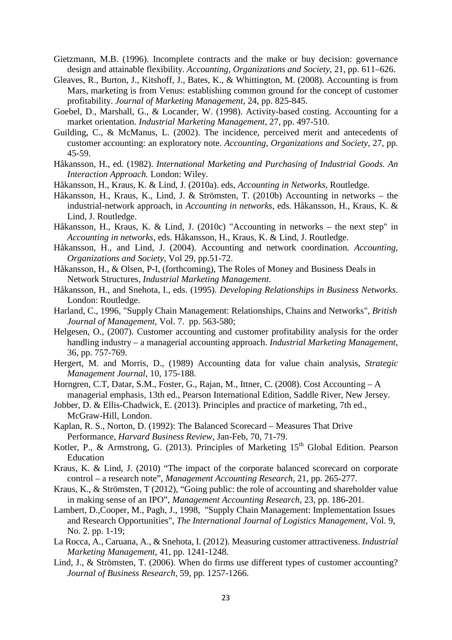- Gietzmann, M.B. (1996). Incomplete contracts and the make or buy decision: governance design and attainable flexibility. *Accounting, Organizations and Society,* 21, pp. 611–626.
- Gleaves, R., Burton, J., Kitshoff, J., Bates, K., & Whittington, M. (2008). Accounting is from Mars, marketing is from Venus: establishing common ground for the concept of customer profitability. *Journal of Marketing Management*, 24, pp. 825-845.
- Goebel, D., Marshall, G., & Locander, W. (1998). Activity-based costing. Accounting for a market orientation. *Industrial Marketing Management*, 27, pp. 497-510.
- Guilding, C., & McManus, L. (2002). The incidence, perceived merit and antecedents of customer accounting: an exploratory note. *Accounting, Organizations and Society*, 27, pp. 45-59.
- Håkansson, H., ed. (1982). *International Marketing and Purchasing of Industrial Goods. An Interaction Approach.* London: Wiley.
- Håkansson, H., Kraus, K. & Lind, J. (2010a). eds, *Accounting in Networks,* Routledge.
- Håkansson, H., Kraus, K., Lind, J. & Strömsten, T. (2010b) Accounting in networks the industrial-network approach, in *Accounting in networks*, eds. Håkansson, H., Kraus, K. & Lind, J. Routledge.
- Håkansson, H., Kraus, K. & Lind, J. (2010c) "Accounting in networks the next step" in *Accounting in networks*, eds. Håkansson, H., Kraus, K. & Lind, J. Routledge.
- Håkansson, H., and Lind, J. (2004). Accounting and network coordination. *Accounting, Organizations and Society*, Vol 29, pp.51-72.
- Håkansson, H., & Olsen, P-I, (forthcoming), The Roles of Money and Business Deals in Network Structures, *Industrial Marketing Management*.
- Håkansson, H., and Snehota, I., eds. (1995). *Developing Relationships in Business Networks*. London: Routledge.
- Harland, C., 1996, "Supply Chain Management: Relationships, Chains and Networks", *British Journal of Management,* Vol. 7. pp. 563-580;
- Helgesen, O., (2007). Customer accounting and customer profitability analysis for the order handling industry – a managerial accounting approach. *Industrial Marketing Management*, 36, pp. 757-769.
- Hergert, M. and Morris, D., (1989) Accounting data for value chain analysis, *Strategic Management Journal*, 10, 175-188.
- Horngren, C.T, Datar, S.M., Foster, G., Rajan, M., Ittner, C. (2008). Cost Accounting A managerial emphasis, 13th ed., Pearson International Edition, Saddle River, New Jersey.
- Jobber, D. & Ellis-Chadwick, E. (2013). Principles and practice of marketing, 7th ed., McGraw-Hill, London.
- Kaplan, R. S., Norton, D. (1992): The Balanced Scorecard Measures That Drive Performance, *Harvard Business Review*, Jan-Feb, 70, 71-79.
- Kotler, P., & Armstrong, G. (2013). Principles of Marketing 15<sup>th</sup> Global Edition. Pearson Education
- Kraus, K. & Lind, J. (2010) "The impact of the corporate balanced scorecard on corporate control – a research note", *Management Accounting Research*, 21, pp. 265-277.
- Kraus, K., & Strömsten, T (2012), "Going public: the role of accounting and shareholder value in making sense of an IPO", *Management Accounting Research,* 23, pp. 186-201.
- Lambert, D.,Cooper, M., Pagh, J., 1998, "Supply Chain Management: Implementation Issues and Research Opportunities", *The International Journal of Logistics Management,* Vol. 9, No. 2. pp. 1-19;
- La Rocca, A., Caruana, A., & Snehota, I. (2012). Measuring customer attractiveness. *Industrial Marketing Management*, 41, pp. 1241-1248.
- Lind, J., & Strömsten, T. (2006). When do firms use different types of customer accounting? *Journal of Business Research,* 59, pp. 1257-1266.